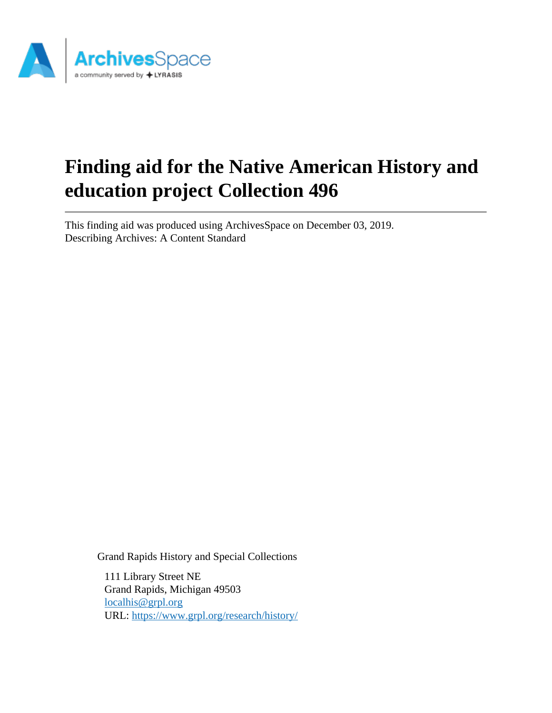

# **Finding aid for the Native American History and education project Collection 496**

This finding aid was produced using ArchivesSpace on December 03, 2019. Describing Archives: A Content Standard

Grand Rapids History and Special Collections

111 Library Street NE Grand Rapids, Michigan 49503 [localhis@grpl.org](mailto:localhis@grpl.org) URL:<https://www.grpl.org/research/history/>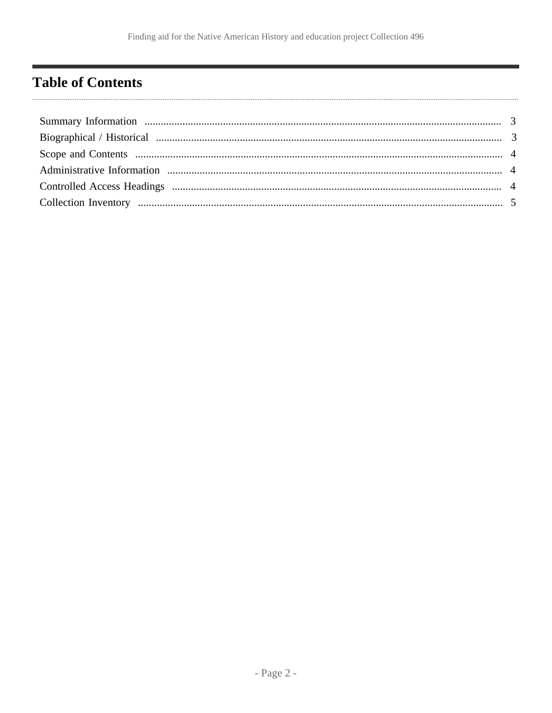## <span id="page-1-0"></span>**Table of Contents**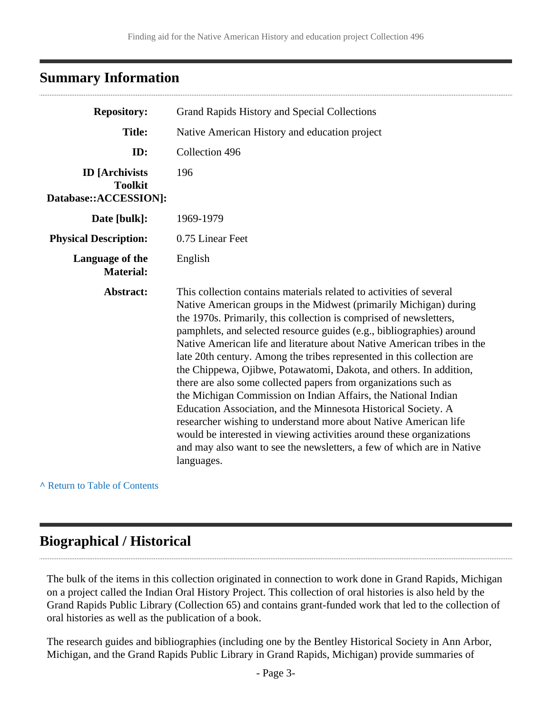#### <span id="page-2-0"></span>**Summary Information**

| <b>Repository:</b>                                               | Grand Rapids History and Special Collections                                                                                                                                                                                                                                                                                                                                                                                                                                                                                                                                                                                                                                                                                                                                                                                                                                                                                                                  |  |  |
|------------------------------------------------------------------|---------------------------------------------------------------------------------------------------------------------------------------------------------------------------------------------------------------------------------------------------------------------------------------------------------------------------------------------------------------------------------------------------------------------------------------------------------------------------------------------------------------------------------------------------------------------------------------------------------------------------------------------------------------------------------------------------------------------------------------------------------------------------------------------------------------------------------------------------------------------------------------------------------------------------------------------------------------|--|--|
| <b>Title:</b>                                                    | Native American History and education project                                                                                                                                                                                                                                                                                                                                                                                                                                                                                                                                                                                                                                                                                                                                                                                                                                                                                                                 |  |  |
| ID:                                                              | Collection 496                                                                                                                                                                                                                                                                                                                                                                                                                                                                                                                                                                                                                                                                                                                                                                                                                                                                                                                                                |  |  |
| <b>ID</b> [Archivists<br><b>Toolkit</b><br>Database::ACCESSION]: | 196                                                                                                                                                                                                                                                                                                                                                                                                                                                                                                                                                                                                                                                                                                                                                                                                                                                                                                                                                           |  |  |
| Date [bulk]:                                                     | 1969-1979                                                                                                                                                                                                                                                                                                                                                                                                                                                                                                                                                                                                                                                                                                                                                                                                                                                                                                                                                     |  |  |
| <b>Physical Description:</b>                                     | 0.75 Linear Feet                                                                                                                                                                                                                                                                                                                                                                                                                                                                                                                                                                                                                                                                                                                                                                                                                                                                                                                                              |  |  |
| Language of the<br><b>Material:</b>                              | English                                                                                                                                                                                                                                                                                                                                                                                                                                                                                                                                                                                                                                                                                                                                                                                                                                                                                                                                                       |  |  |
| Abstract:                                                        | This collection contains materials related to activities of several<br>Native American groups in the Midwest (primarily Michigan) during<br>the 1970s. Primarily, this collection is comprised of newsletters,<br>pamphlets, and selected resource guides (e.g., bibliographies) around<br>Native American life and literature about Native American tribes in the<br>late 20th century. Among the tribes represented in this collection are<br>the Chippewa, Ojibwe, Potawatomi, Dakota, and others. In addition,<br>there are also some collected papers from organizations such as<br>the Michigan Commission on Indian Affairs, the National Indian<br>Education Association, and the Minnesota Historical Society. A<br>researcher wishing to understand more about Native American life<br>would be interested in viewing activities around these organizations<br>and may also want to see the newsletters, a few of which are in Native<br>languages. |  |  |

**^** [Return to Table of Contents](#page-1-0)

## <span id="page-2-1"></span>**Biographical / Historical**

The bulk of the items in this collection originated in connection to work done in Grand Rapids, Michigan on a project called the Indian Oral History Project. This collection of oral histories is also held by the Grand Rapids Public Library (Collection 65) and contains grant-funded work that led to the collection of oral histories as well as the publication of a book.

The research guides and bibliographies (including one by the Bentley Historical Society in Ann Arbor, Michigan, and the Grand Rapids Public Library in Grand Rapids, Michigan) provide summaries of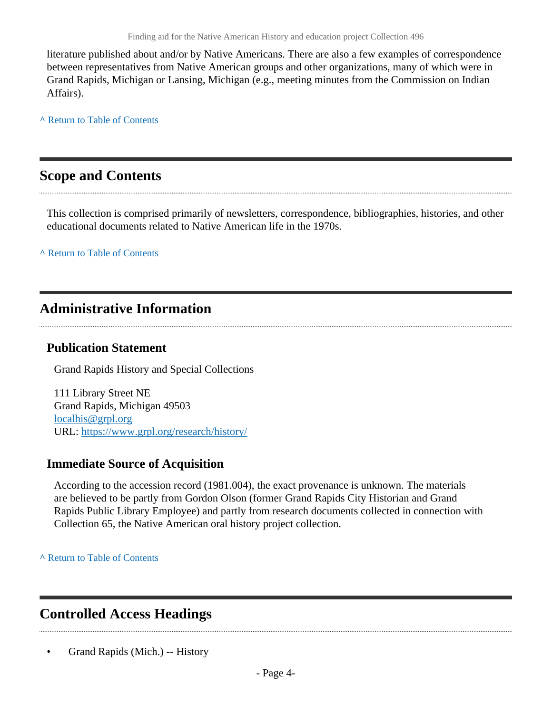literature published about and/or by Native Americans. There are also a few examples of correspondence between representatives from Native American groups and other organizations, many of which were in Grand Rapids, Michigan or Lansing, Michigan (e.g., meeting minutes from the Commission on Indian Affairs).

**^** [Return to Table of Contents](#page-1-0)

#### <span id="page-3-0"></span>**Scope and Contents**

This collection is comprised primarily of newsletters, correspondence, bibliographies, histories, and other educational documents related to Native American life in the 1970s.

**^** [Return to Table of Contents](#page-1-0)

#### <span id="page-3-1"></span>**Administrative Information**

#### **Publication Statement**

Grand Rapids History and Special Collections

111 Library Street NE Grand Rapids, Michigan 49503 [localhis@grpl.org](mailto:localhis@grpl.org) URL:<https://www.grpl.org/research/history/>

#### **Immediate Source of Acquisition**

According to the accession record (1981.004), the exact provenance is unknown. The materials are believed to be partly from Gordon Olson (former Grand Rapids City Historian and Grand Rapids Public Library Employee) and partly from research documents collected in connection with Collection 65, the Native American oral history project collection.

**^** [Return to Table of Contents](#page-1-0)

## <span id="page-3-2"></span>**Controlled Access Headings**

• Grand Rapids (Mich.) -- History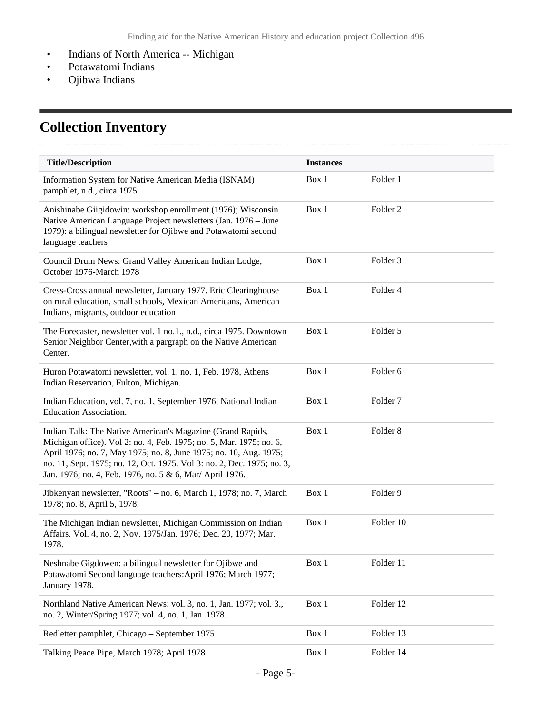- Indians of North America -- Michigan
- Potawatomi Indians
- Ojibwa Indians

. . . . .

# <span id="page-4-0"></span>**Collection Inventory**

| <b>Title/Description</b>                                                                                                                                                                                                                                                                                                                     | <b>Instances</b> |                     |  |  |
|----------------------------------------------------------------------------------------------------------------------------------------------------------------------------------------------------------------------------------------------------------------------------------------------------------------------------------------------|------------------|---------------------|--|--|
| Information System for Native American Media (ISNAM)<br>pamphlet, n.d., circa 1975                                                                                                                                                                                                                                                           | Box 1            | Folder 1            |  |  |
| Anishinabe Giigidowin: workshop enrollment (1976); Wisconsin<br>Native American Language Project newsletters (Jan. 1976 - June<br>1979): a bilingual newsletter for Ojibwe and Potawatomi second<br>language teachers                                                                                                                        | Box 1            | Folder <sub>2</sub> |  |  |
| Council Drum News: Grand Valley American Indian Lodge,<br>October 1976-March 1978                                                                                                                                                                                                                                                            | Box 1            | Folder <sub>3</sub> |  |  |
| Cress-Cross annual newsletter, January 1977. Eric Clearinghouse<br>on rural education, small schools, Mexican Americans, American<br>Indians, migrants, outdoor education                                                                                                                                                                    | Box 1            | Folder 4            |  |  |
| The Forecaster, newsletter vol. 1 no.1., n.d., circa 1975. Downtown<br>Senior Neighbor Center, with a pargraph on the Native American<br>Center.                                                                                                                                                                                             | Box 1            | Folder 5            |  |  |
| Huron Potawatomi newsletter, vol. 1, no. 1, Feb. 1978, Athens<br>Indian Reservation, Fulton, Michigan.                                                                                                                                                                                                                                       | Box 1            | Folder 6            |  |  |
| Indian Education, vol. 7, no. 1, September 1976, National Indian<br>Education Association.                                                                                                                                                                                                                                                   | Box 1            | Folder <sub>7</sub> |  |  |
| Indian Talk: The Native American's Magazine (Grand Rapids,<br>Michigan office). Vol 2: no. 4, Feb. 1975; no. 5, Mar. 1975; no. 6,<br>April 1976; no. 7, May 1975; no. 8, June 1975; no. 10, Aug. 1975;<br>no. 11, Sept. 1975; no. 12, Oct. 1975. Vol 3: no. 2, Dec. 1975; no. 3,<br>Jan. 1976; no. 4, Feb. 1976, no. 5 & 6, Mar/ April 1976. | Box 1            | Folder <sub>8</sub> |  |  |
| Jibkenyan newsletter, "Roots" - no. 6, March 1, 1978; no. 7, March<br>1978; no. 8, April 5, 1978.                                                                                                                                                                                                                                            | Box 1            | Folder 9            |  |  |
| The Michigan Indian newsletter, Michigan Commission on Indian<br>Affairs. Vol. 4, no. 2, Nov. 1975/Jan. 1976; Dec. 20, 1977; Mar.<br>1978.                                                                                                                                                                                                   | Box 1            | Folder 10           |  |  |
| Neshnabe Gigdowen: a bilingual newsletter for Ojibwe and<br>Potawatomi Second language teachers: April 1976; March 1977;<br>January 1978.                                                                                                                                                                                                    | Box 1            | Folder 11           |  |  |
| Northland Native American News: vol. 3, no. 1, Jan. 1977; vol. 3.,<br>no. 2, Winter/Spring 1977; vol. 4, no. 1, Jan. 1978.                                                                                                                                                                                                                   | Box 1            | Folder 12           |  |  |
| Redletter pamphlet, Chicago - September 1975                                                                                                                                                                                                                                                                                                 | Box 1            | Folder 13           |  |  |
| Talking Peace Pipe, March 1978; April 1978                                                                                                                                                                                                                                                                                                   | Box 1            | Folder 14           |  |  |